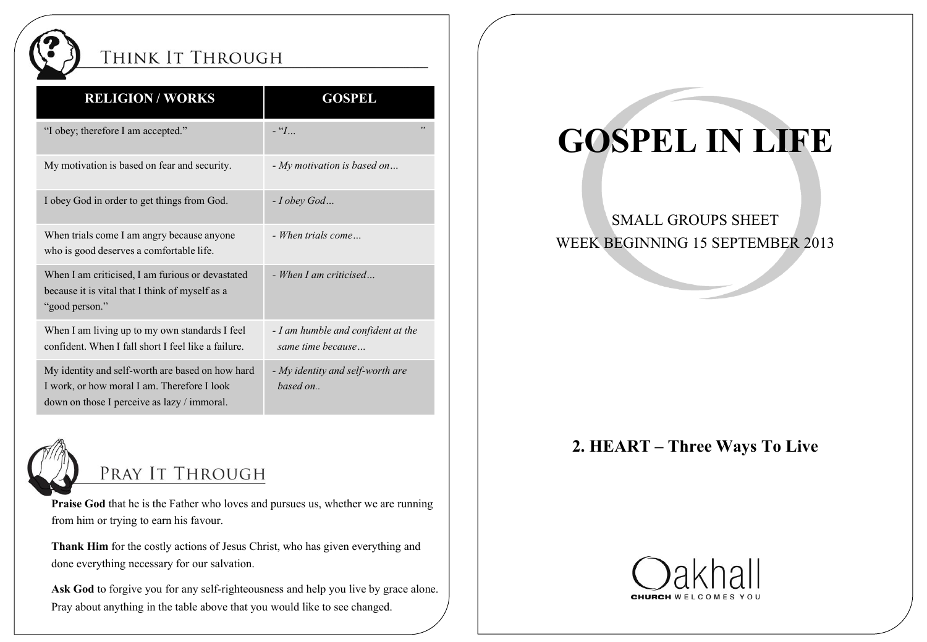

## THINK IT THROUGH

| <b>RELIGION/WORKS</b>                                                                                                                          | <b>GOSPEL</b>                                           |
|------------------------------------------------------------------------------------------------------------------------------------------------|---------------------------------------------------------|
| "I obey; therefore I am accepted."                                                                                                             | , ,<br>$-$ " $I_{}$                                     |
| My motivation is based on fear and security.                                                                                                   | - My motivation is based on                             |
| I obey God in order to get things from God.                                                                                                    | $-I$ obey God                                           |
| When trials come I am angry because anyone<br>who is good deserves a comfortable life.                                                         | - When trials come                                      |
| When I am criticised, I am furious or devastated<br>because it is vital that I think of myself as a<br>"good person."                          | - When I am criticised                                  |
| When I am living up to my own standards I feel<br>confident. When I fall short I feel like a failure.                                          | - I am humble and confident at the<br>same time because |
| My identity and self-worth are based on how hard<br>I work, or how moral I am. Therefore I look<br>down on those I perceive as lazy / immoral. | - My identity and self-worth are<br>based on            |



# PRAY IT THROUGH

**Praise God** that he is the Father who loves and pursues us, whether we are running from him or trying to earn his favour.

**Thank Him** for the costly actions of Jesus Christ, who has given everything and done everything necessary for our salvation.

Ask God to forgive you for any self-righteousness and help you live by grace alone. Pray about anything in the table above that you would like to see changed.

# **GOSPEL IN LIFE**

#### SMALL GROUPS SHEET WEEK BEGINNING 15 SEPTEMBER 2013

### **2. HEART – Three Ways To Live**